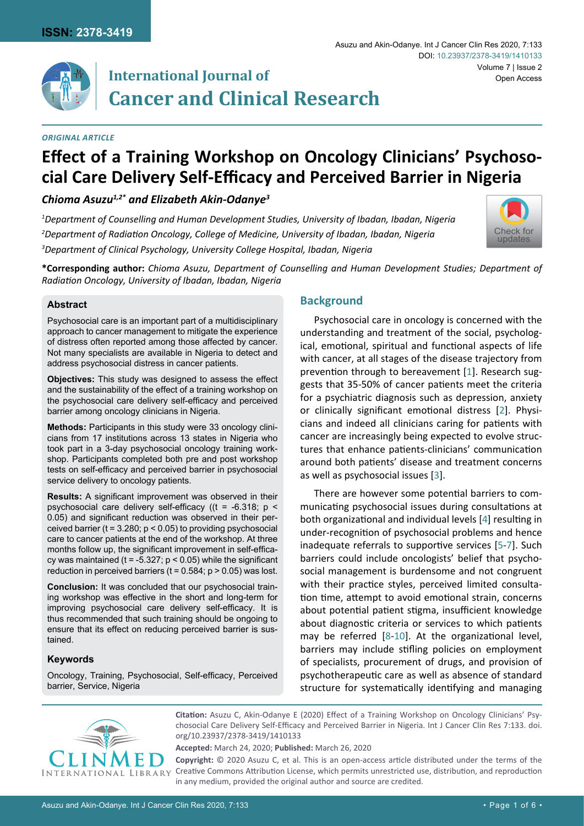

# **International Journal of Cancer and Clinical Research**

*1 Department of Counselling and Human Development Studies, University of Ibadan, Ibadan, Nigeria 2 Department of Radiation Oncology, College of Medicine, University of Ibadan, Ibadan, Nigeria*

*3 Department of Clinical Psychology, University College Hospital, Ibadan, Nigeria*

## *Original article*

#### Asuzu and Akin-Odanye. Int J Cancer Clin Res 2020, 7:133 Volume 7 | Issue 2 DOI: [10.23937/2378-3419/1410133](https://doi.org/10.23937/2378-3419/1410133) Open Access



**\*Corresponding author:** *Chioma Asuzu, Department of Counselling and Human Development Studies; Department of Radiation Oncology, University of Ibadan, Ibadan, Nigeria*

**Effect of a Training Workshop on Oncology Clinicians' Psychoso-**

**cial Care Delivery Self-Efficacy and Perceived Barrier in Nigeria**

## **Abstract**

Psychosocial care is an important part of a multidisciplinary approach to cancer management to mitigate the experience of distress often reported among those affected by cancer. Not many specialists are available in Nigeria to detect and address psychosocial distress in cancer patients.

*Chioma Asuzu1,2\* and Elizabeth Akin-Odanye3*

**Objectives:** This study was designed to assess the effect and the sustainability of the effect of a training workshop on the psychosocial care delivery self-efficacy and perceived barrier among oncology clinicians in Nigeria.

**Methods:** Participants in this study were 33 oncology clinicians from 17 institutions across 13 states in Nigeria who took part in a 3-day psychosocial oncology training workshop. Participants completed both pre and post workshop tests on self-efficacy and perceived barrier in psychosocial service delivery to oncology patients.

**Results:** A significant improvement was observed in their psychosocial care delivery self-efficacy ((t = -6.318; p < 0.05) and significant reduction was observed in their perceived barrier ( $t = 3.280$ ;  $p < 0.05$ ) to providing psychosocial care to cancer patients at the end of the workshop. At three months follow up, the significant improvement in self-efficacy was maintained ( $t = -5.327$ ;  $p < 0.05$ ) while the significant reduction in perceived barriers ( $t = 0.584$ ;  $p > 0.05$ ) was lost.

**Conclusion:** It was concluded that our psychosocial training workshop was effective in the short and long-term for improving psychosocial care delivery self-efficacy. It is thus recommended that such training should be ongoing to ensure that its effect on reducing perceived barrier is sustained.

## **Keywords**

Oncology, Training, Psychosocial, Self-efficacy, Perceived barrier, Service, Nigeria

# **Background**

Psychosocial care in oncology is concerned with the understanding and treatment of the social, psychological, emotional, spiritual and functional aspects of life with cancer, at all stages of the disease trajectory from prevention through to bereavement [[1](#page-4-0)]. Research suggests that 35-50% of cancer patients meet the criteria for a psychiatric diagnosis such as depression, anxiety or clinically significant emotional distress [[2](#page-4-1)]. Physicians and indeed all clinicians caring for patients with cancer are increasingly being expected to evolve structures that enhance patients-clinicians' communication around both patients' disease and treatment concerns as well as psychosocial issues [[3](#page-4-2)].

There are however some potential barriers to communicating psychosocial issues during consultations at both organizational and individual levels [[4](#page-4-3)] resulting in under-recognition of psychosocial problems and hence inadequate referrals to supportive services [[5](#page-4-4)-[7](#page-4-5)]. Such barriers could include oncologists' belief that psychosocial management is burdensome and not congruent with their practice styles, perceived limited consultation time, attempt to avoid emotional strain, concerns about potential patient stigma, insufficient knowledge about diagnostic criteria or services to which patients may be referred [[8](#page-4-6)-[10](#page-4-7)]. At the organizational level, barriers may include stifling policies on employment of specialists, procurement of drugs, and provision of psychotherapeutic care as well as absence of standard structure for systematically identifying and managing



**Citation:** Asuzu C, Akin-Odanye E (2020) Effect of a Training Workshop on Oncology Clinicians' Psychosocial Care Delivery Self-Efficacy and Perceived Barrier in Nigeria. Int J Cancer Clin Res 7:133. [doi.](https://doi.org/10.23937/2378-3419/1410133) [org/10.23937/2378-3419/141013](https://doi.org/10.23937/2378-3419/1410133)3

**Accepted:** March 24, 2020; **Published:** March 26, 2020

**Copyright:** © 2020 Asuzu C, et al. This is an open-access article distributed under the terms of the Creative Commons Attribution License, which permits unrestricted use, distribution, and reproduction in any medium, provided the original author and source are credited.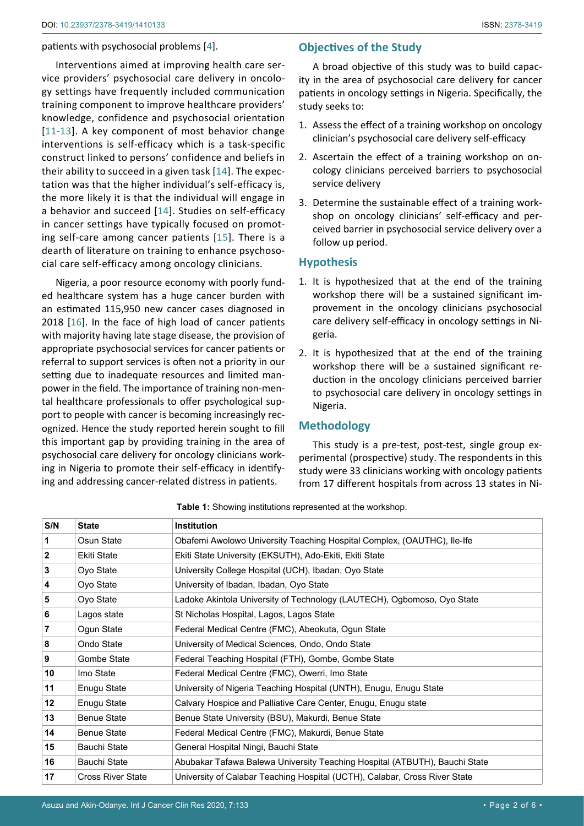#### patients with psychosocial problems [[4](#page-4-3)].

Interventions aimed at improving health care service providers' psychosocial care delivery in oncology settings have frequently included communication training component to improve healthcare providers' knowledge, confidence and psychosocial orientation [[11](#page-4-8)-[13\]](#page-4-9). A key component of most behavior change interventions is self-efficacy which is a task-specific construct linked to persons' confidence and beliefs in their ability to succeed in a given task [\[14\]](#page-4-10). The expectation was that the higher individual's self-efficacy is, the more likely it is that the individual will engage in a behavior and succeed [[14](#page-4-10)]. Studies on self-efficacy in cancer settings have typically focused on promoting self-care among cancer patients [[15\]](#page-4-11). There is a dearth of literature on training to enhance psychosocial care self-efficacy among oncology clinicians.

Nigeria, a poor resource economy with poorly funded healthcare system has a huge cancer burden with an estimated 115,950 new cancer cases diagnosed in 2018 [\[16](#page-4-12)]. In the face of high load of cancer patients with majority having late stage disease, the provision of appropriate psychosocial services for cancer patients or referral to support services is often not a priority in our setting due to inadequate resources and limited manpower in the field. The importance of training non-mental healthcare professionals to offer psychological support to people with cancer is becoming increasingly recognized. Hence the study reported herein sought to fill this important gap by providing training in the area of psychosocial care delivery for oncology clinicians working in Nigeria to promote their self-efficacy in identifying and addressing cancer-related distress in patients.

# **Objectives of the Study**

A broad objective of this study was to build capacity in the area of psychosocial care delivery for cancer patients in oncology settings in Nigeria. Specifically, the study seeks to:

- 1. Assess the effect of a training workshop on oncology clinician's psychosocial care delivery self-efficacy
- 2. Ascertain the effect of a training workshop on oncology clinicians perceived barriers to psychosocial service delivery
- 3. Determine the sustainable effect of a training workshop on oncology clinicians' self-efficacy and perceived barrier in psychosocial service delivery over a follow up period.

# **Hypothesis**

- 1. It is hypothesized that at the end of the training workshop there will be a sustained significant improvement in the oncology clinicians psychosocial care delivery self-efficacy in oncology settings in Nigeria.
- 2. It is hypothesized that at the end of the training workshop there will be a sustained significant reduction in the oncology clinicians perceived barrier to psychosocial care delivery in oncology settings in Nigeria.

## **Methodology**

This study is a pre-test, post-test, single group experimental (prospective) study. The respondents in this study were 33 clinicians working with oncology patients from 17 different hospitals from across 13 states in Ni-

| S/N          | <b>State</b>             | <b>Institution</b>                                                         |  |  |  |  |  |
|--------------|--------------------------|----------------------------------------------------------------------------|--|--|--|--|--|
| 1            | Osun State               | Obafemi Awolowo University Teaching Hospital Complex, (OAUTHC), Ile-Ife    |  |  |  |  |  |
| $\mathbf{2}$ | <b>Ekiti State</b>       | Ekiti State University (EKSUTH), Ado-Ekiti, Ekiti State                    |  |  |  |  |  |
| 3            | Oyo State                | University College Hospital (UCH), Ibadan, Oyo State                       |  |  |  |  |  |
| 4            | Oyo State                | University of Ibadan, Ibadan, Oyo State                                    |  |  |  |  |  |
| 5            | Oyo State                | Ladoke Akintola University of Technology (LAUTECH), Ogbomoso, Oyo State    |  |  |  |  |  |
| 6            | Lagos state              | St Nicholas Hospital, Lagos, Lagos State                                   |  |  |  |  |  |
| 7            | Ogun State               | Federal Medical Centre (FMC), Abeokuta, Ogun State                         |  |  |  |  |  |
| 8            | Ondo State               | University of Medical Sciences, Ondo, Ondo State                           |  |  |  |  |  |
| 9            | Gombe State              | Federal Teaching Hospital (FTH), Gombe, Gombe State                        |  |  |  |  |  |
| 10           | Imo State                | Federal Medical Centre (FMC), Owerri, Imo State                            |  |  |  |  |  |
| 11           | Enugu State              | University of Nigeria Teaching Hospital (UNTH), Enugu, Enugu State         |  |  |  |  |  |
| $12 \,$      | Enugu State              | Calvary Hospice and Palliative Care Center, Enugu, Enugu state             |  |  |  |  |  |
| 13           | <b>Benue State</b>       | Benue State University (BSU), Makurdi, Benue State                         |  |  |  |  |  |
| 14           | <b>Benue State</b>       | Federal Medical Centre (FMC), Makurdi, Benue State                         |  |  |  |  |  |
| 15           | Bauchi State             | General Hospital Ningi, Bauchi State                                       |  |  |  |  |  |
| 16           | Bauchi State             | Abubakar Tafawa Balewa University Teaching Hospital (ATBUTH), Bauchi State |  |  |  |  |  |
| 17           | <b>Cross River State</b> | University of Calabar Teaching Hospital (UCTH), Calabar, Cross River State |  |  |  |  |  |

<span id="page-1-0"></span>**Table 1:** Showing institutions represented at the workshop.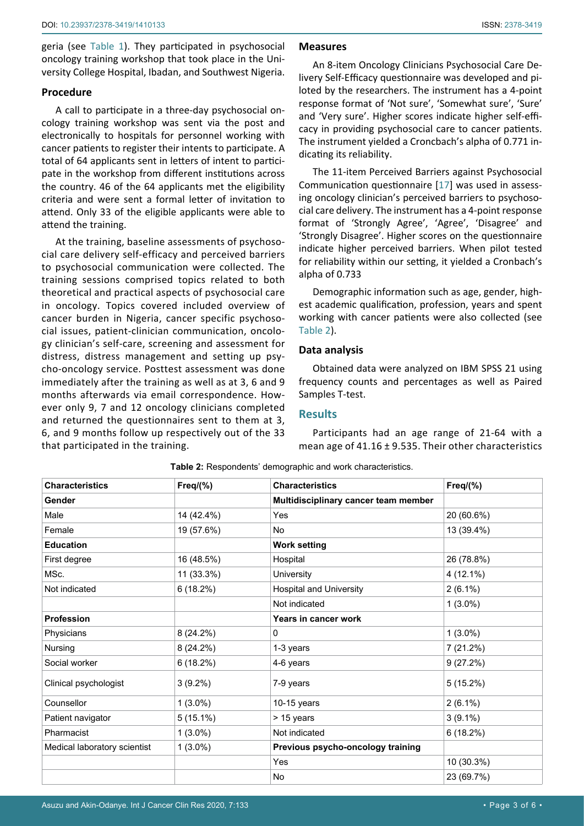geria (see [Table 1](#page-1-0)). They participated in psychosocial oncology training workshop that took place in the University College Hospital, Ibadan, and Southwest Nigeria.

## **Procedure**

A call to participate in a three-day psychosocial oncology training workshop was sent via the post and electronically to hospitals for personnel working with cancer patients to register their intents to participate. A total of 64 applicants sent in letters of intent to participate in the workshop from different institutions across the country. 46 of the 64 applicants met the eligibility criteria and were sent a formal letter of invitation to attend. Only 33 of the eligible applicants were able to attend the training.

At the training, baseline assessments of psychosocial care delivery self-efficacy and perceived barriers to psychosocial communication were collected. The training sessions comprised topics related to both theoretical and practical aspects of psychosocial care in oncology. Topics covered included overview of cancer burden in Nigeria, cancer specific psychosocial issues, patient-clinician communication, oncology clinician's self-care, screening and assessment for distress, distress management and setting up psycho-oncology service. Posttest assessment was done immediately after the training as well as at 3, 6 and 9 months afterwards via email correspondence. However only 9, 7 and 12 oncology clinicians completed and returned the questionnaires sent to them at 3, 6, and 9 months follow up respectively out of the 33 that participated in the training.

## **Measures**

An 8-item Oncology Clinicians Psychosocial Care Delivery Self-Efficacy questionnaire was developed and piloted by the researchers. The instrument has a 4-point response format of 'Not sure', 'Somewhat sure', 'Sure' and 'Very sure'. Higher scores indicate higher self-efficacy in providing psychosocial care to cancer patients. The instrument yielded a Croncbach's alpha of 0.771 indicating its reliability.

The 11-item Perceived Barriers against Psychosocial Communication questionnaire [\[17](#page-4-13)] was used in assessing oncology clinician's perceived barriers to psychosocial care delivery. The instrument has a 4-point response format of 'Strongly Agree', 'Agree', 'Disagree' and 'Strongly Disagree'. Higher scores on the questionnaire indicate higher perceived barriers. When pilot tested for reliability within our setting, it yielded a Cronbach's alpha of 0.733

Demographic information such as age, gender, highest academic qualification, profession, years and spent working with cancer patients were also collected (see [Table 2](#page-2-0)).

## **Data analysis**

Obtained data were analyzed on IBM SPSS 21 using frequency counts and percentages as well as Paired Samples T-test.

## **Results**

Participants had an age range of 21-64 with a mean age of 41.16 ± 9.535. Their other characteristics

| <b>Characteristics</b>       | $Freq(\% )$ | <b>Characteristics</b>               | $Freq(\% )$ |
|------------------------------|-------------|--------------------------------------|-------------|
| Gender                       |             | Multidisciplinary cancer team member |             |
| Male                         | 14 (42.4%)  | Yes                                  | 20 (60.6%)  |
| Female                       | 19 (57.6%)  | No.                                  | 13 (39.4%)  |
| <b>Education</b>             |             | <b>Work setting</b>                  |             |
| First degree                 | 16 (48.5%)  | Hospital                             | 26 (78.8%)  |
| MSc.                         | 11 (33.3%)  | University                           | 4 (12.1%)   |
| Not indicated                | 6(18.2%)    | <b>Hospital and University</b>       | $2(6.1\%)$  |
|                              |             | Not indicated                        | $1(3.0\%)$  |
| <b>Profession</b>            |             | Years in cancer work                 |             |
| Physicians                   | $8(24.2\%)$ | 0                                    | $1(3.0\%)$  |
| Nursing                      | $8(24.2\%)$ | 1-3 years                            | 7 (21.2%)   |
| Social worker                | 6(18.2%)    | 4-6 years                            | 9(27.2%)    |
| Clinical psychologist        | $3(9.2\%)$  | 7-9 years                            | 5(15.2%)    |
| Counsellor                   | $1(3.0\%)$  | 10-15 years                          | $2(6.1\%)$  |
| Patient navigator            | $5(15.1\%)$ | > 15 years                           | $3(9.1\%)$  |
| Pharmacist                   | $1(3.0\%)$  | Not indicated                        | 6(18.2%)    |
| Medical laboratory scientist | $1(3.0\%)$  | Previous psycho-oncology training    |             |
|                              |             | Yes                                  | 10 (30.3%)  |
|                              |             | No                                   | 23 (69.7%)  |

<span id="page-2-0"></span>**Table 2:** Respondents' demographic and work characteristics.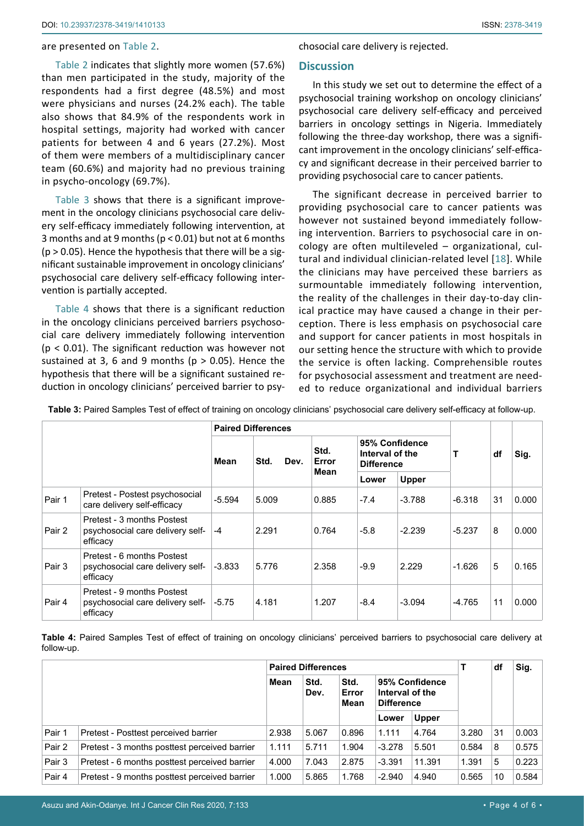#### are presented on [Table 2](#page-2-0).

[Table 2](#page-2-0) indicates that slightly more women (57.6%) than men participated in the study, majority of the respondents had a first degree (48.5%) and most were physicians and nurses (24.2% each). The table also shows that 84.9% of the respondents work in hospital settings, majority had worked with cancer patients for between 4 and 6 years (27.2%). Most of them were members of a multidisciplinary cancer team (60.6%) and majority had no previous training in psycho-oncology (69.7%).

[Table 3](#page-3-0) shows that there is a significant improvement in the oncology clinicians psychosocial care delivery self-efficacy immediately following intervention, at 3 months and at 9 months (p < 0.01) but not at 6 months  $(p > 0.05)$ . Hence the hypothesis that there will be a significant sustainable improvement in oncology clinicians' psychosocial care delivery self-efficacy following intervention is partially accepted.

[Table 4](#page-3-1) shows that there is a significant reduction in the oncology clinicians perceived barriers psychosocial care delivery immediately following intervention (p < 0.01). The significant reduction was however not sustained at 3, 6 and 9 months ( $p > 0.05$ ). Hence the hypothesis that there will be a significant sustained reduction in oncology clinicians' perceived barrier to psychosocial care delivery is rejected.

#### **Discussion**

In this study we set out to determine the effect of a psychosocial training workshop on oncology clinicians' psychosocial care delivery self-efficacy and perceived barriers in oncology settings in Nigeria. Immediately following the three-day workshop, there was a significant improvement in the oncology clinicians' self-efficacy and significant decrease in their perceived barrier to providing psychosocial care to cancer patients.

The significant decrease in perceived barrier to providing psychosocial care to cancer patients was however not sustained beyond immediately following intervention. Barriers to psychosocial care in oncology are often multileveled – organizational, cultural and individual clinician-related level [[18](#page-4-14)]. While the clinicians may have perceived these barriers as surmountable immediately following intervention, the reality of the challenges in their day-to-day clinical practice may have caused a change in their perception. There is less emphasis on psychosocial care and support for cancer patients in most hospitals in our setting hence the structure with which to provide the service is often lacking. Comprehensible routes for psychosocial assessment and treatment are needed to reduce organizational and individual barriers

|        |                                                                            | <b>Paired Differences</b> |              |                       |                                                        |              |          |    |       |
|--------|----------------------------------------------------------------------------|---------------------------|--------------|-----------------------|--------------------------------------------------------|--------------|----------|----|-------|
|        |                                                                            | Mean                      | Std.<br>Dev. | Std.<br>Error<br>Mean | 95% Confidence<br>Interval of the<br><b>Difference</b> |              | т        | df | Sig.  |
|        |                                                                            |                           |              |                       | Lower                                                  | <b>Upper</b> |          |    |       |
| Pair 1 | Pretest - Postest psychosocial<br>care delivery self-efficacy              | $-5.594$                  | 5.009        | 0.885                 | $-7.4$                                                 | $-3.788$     | -6.318   | 31 | 0.000 |
| Pair 2 | Pretest - 3 months Postest<br>psychosocial care delivery self-<br>efficacy | $-4$                      | 2.291        | 0.764                 | $-5.8$                                                 | $-2.239$     | $-5.237$ | 8  | 0.000 |
| Pair 3 | Pretest - 6 months Postest<br>psychosocial care delivery self-<br>efficacy | $-3.833$                  | 5.776        | 2.358                 | $-9.9$                                                 | 2.229        | $-1.626$ | 5  | 0.165 |
| Pair 4 | Pretest - 9 months Postest<br>psychosocial care delivery self-<br>efficacy | $-5.75$                   | 4.181        | 1.207                 | $-8.4$                                                 | $-3.094$     | -4.765   | 11 | 0.000 |

<span id="page-3-0"></span>**Table 3:** Paired Samples Test of effect of training on oncology clinicians' psychosocial care delivery self-efficacy at follow-up.

<span id="page-3-1"></span>**Table 4:** Paired Samples Test of effect of training on oncology clinicians' perceived barriers to psychosocial care delivery at follow-up.

|        |                                               | <b>Paired Differences</b> |              |                       |                                                        |              |       | df | Sig.  |
|--------|-----------------------------------------------|---------------------------|--------------|-----------------------|--------------------------------------------------------|--------------|-------|----|-------|
|        |                                               | Mean                      | Std.<br>Dev. | Std.<br>Error<br>Mean | 95% Confidence<br>Interval of the<br><b>Difference</b> |              |       |    |       |
|        |                                               |                           |              |                       | Lower                                                  | <b>Upper</b> |       |    |       |
| Pair 1 | Pretest - Posttest perceived barrier          | 2.938                     | 5.067        | 0.896                 | 1.111                                                  | 4.764        | 3.280 | 31 | 0.003 |
| Pair 2 | Pretest - 3 months posttest perceived barrier | 1.111                     | 5.711        | 1.904                 | $-3.278$                                               | 5.501        | 0.584 | 8  | 0.575 |
| Pair 3 | Pretest - 6 months posttest perceived barrier | 4.000                     | 7.043        | 2.875                 | $-3.391$                                               | 11.391       | 1.391 | 5  | 0.223 |
| Pair 4 | Pretest - 9 months posttest perceived barrier | 1.000                     | 5.865        | 1.768                 | $-2.940$                                               | 4.940        | 0.565 | 10 | 0.584 |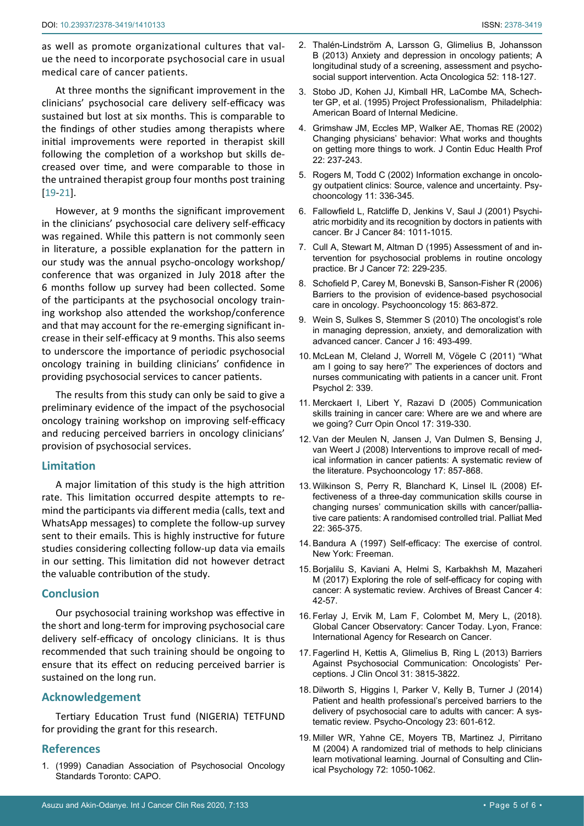as well as promote organizational cultures that value the need to incorporate psychosocial care in usual medical care of cancer patients.

At three months the significant improvement in the clinicians' psychosocial care delivery self-efficacy was sustained but lost at six months. This is comparable to the findings of other studies among therapists where initial improvements were reported in therapist skill following the completion of a workshop but skills decreased over time, and were comparable to those in the untrained therapist group four months post training [[19](#page-4-15)-[21\]](#page-5-0).

However, at 9 months the significant improvement in the clinicians' psychosocial care delivery self-efficacy was regained. While this pattern is not commonly seen in literature, a possible explanation for the pattern in our study was the annual psycho-oncology workshop/ conference that was organized in July 2018 after the 6 months follow up survey had been collected. Some of the participants at the psychosocial oncology training workshop also attended the workshop/conference and that may account for the re-emerging significant increase in their self-efficacy at 9 months. This also seems to underscore the importance of periodic psychosocial oncology training in building clinicians' confidence in providing psychosocial services to cancer patients.

The results from this study can only be said to give a preliminary evidence of the impact of the psychosocial oncology training workshop on improving self-efficacy and reducing perceived barriers in oncology clinicians' provision of psychosocial services.

## **Limitation**

A major limitation of this study is the high attrition rate. This limitation occurred despite attempts to remind the participants via different media (calls, text and WhatsApp messages) to complete the follow-up survey sent to their emails. This is highly instructive for future studies considering collecting follow-up data via emails in our setting. This limitation did not however detract the valuable contribution of the study.

## **Conclusion**

Our psychosocial training workshop was effective in the short and long-term for improving psychosocial care delivery self-efficacy of oncology clinicians. It is thus recommended that such training should be ongoing to ensure that its effect on reducing perceived barrier is sustained on the long run.

## **Acknowledgement**

Tertiary Education Trust fund (NIGERIA) TETFUND for providing the grant for this research.

## **References**

<span id="page-4-0"></span>1. (1999) Canadian Association of Psychosocial Oncology Standards Toronto: CAPO.

- <span id="page-4-1"></span>2. [Thalén-Lindström A, Larsson G, Glimelius B, Johansson](https://www.ncbi.nlm.nih.gov/pubmed/22934559)  [B \(2013\) Anxiety and depression in oncology patients; A](https://www.ncbi.nlm.nih.gov/pubmed/22934559)  [longitudinal study of a screening, assessment and psycho](https://www.ncbi.nlm.nih.gov/pubmed/22934559)[social support intervention. Acta Oncologica 52: 118-127.](https://www.ncbi.nlm.nih.gov/pubmed/22934559)
- <span id="page-4-2"></span>3. [Stobo JD, Kohen JJ, Kimball HR, LaCombe MA, Schech](https://medicinainternaucv.files.wordpress.com/2013/02/project-professionalism.pdf)[ter GP, et al. \(1995\) Project Professionalism, Philadelphia:](https://medicinainternaucv.files.wordpress.com/2013/02/project-professionalism.pdf)  [American Board of Internal Medicine.](https://medicinainternaucv.files.wordpress.com/2013/02/project-professionalism.pdf)
- <span id="page-4-3"></span>4. [Grimshaw JM, Eccles MP, Walker AE, Thomas RE \(2002\)](https://www.ncbi.nlm.nih.gov/pubmed/12613059)  [Changing physicians' behavior: What works and thoughts](https://www.ncbi.nlm.nih.gov/pubmed/12613059)  [on getting more things to work. J Contin Educ Health Prof](https://www.ncbi.nlm.nih.gov/pubmed/12613059)  [22: 237-243.](https://www.ncbi.nlm.nih.gov/pubmed/12613059)
- <span id="page-4-4"></span>5. [Rogers M, Todd C \(2002\) Information exchange in oncolo](https://pubmed.ncbi.nlm.nih.gov/12203746/)[gy outpatient clinics: Source, valence and uncertainty. Psy](https://pubmed.ncbi.nlm.nih.gov/12203746/)[chooncology 11: 336-345.](https://pubmed.ncbi.nlm.nih.gov/12203746/)
- 6. [Fallowfield L, Ratcliffe D, Jenkins V, Saul J \(2001\) Psychi](https://www.ncbi.nlm.nih.gov/pubmed/11308246)[atric morbidity and its recognition by doctors in patients with](https://www.ncbi.nlm.nih.gov/pubmed/11308246)  [cancer. Br J Cancer 84: 1011-1015.](https://www.ncbi.nlm.nih.gov/pubmed/11308246)
- <span id="page-4-5"></span>7. [Cull A, Stewart M, Altman D \(1995\) Assessment of and in](https://www.ncbi.nlm.nih.gov/pubmed/7599058)[tervention for psychosocial problems in routine oncology](https://www.ncbi.nlm.nih.gov/pubmed/7599058)  [practice. Br J Cancer 72: 229-235.](https://www.ncbi.nlm.nih.gov/pubmed/7599058)
- <span id="page-4-6"></span>8. [Schofield P, Carey M, Bonevski B, Sanson-Fisher R \(2006\)](https://www.ncbi.nlm.nih.gov/pubmed/16381066)  [Barriers to the provision of evidence-based psychosocial](https://www.ncbi.nlm.nih.gov/pubmed/16381066)  [care in oncology. Psychooncology 15: 863-872.](https://www.ncbi.nlm.nih.gov/pubmed/16381066)
- 9. [Wein S, Sulkes S, Stemmer S \(2010\) The oncologist's role](https://www.ncbi.nlm.nih.gov/pubmed/20890146)  [in managing depression, anxiety, and demoralization with](https://www.ncbi.nlm.nih.gov/pubmed/20890146)  [advanced cancer. Cancer J 16: 493-499.](https://www.ncbi.nlm.nih.gov/pubmed/20890146)
- <span id="page-4-7"></span>10. [McLean M, Cleland J, Worrell M, Vögele C \(2011\) "What](https://www.ncbi.nlm.nih.gov/pubmed/22144970)  [am I going to say here?" The experiences of doctors and](https://www.ncbi.nlm.nih.gov/pubmed/22144970)  [nurses communicating with patients in a cancer unit. Front](https://www.ncbi.nlm.nih.gov/pubmed/22144970)  [Psychol 2: 339.](https://www.ncbi.nlm.nih.gov/pubmed/22144970)
- <span id="page-4-8"></span>11. [Merckaert I, Libert Y, Razavi D \(2005\) Communication](https://www.ncbi.nlm.nih.gov/pubmed/15933461)  [skills training in cancer care: Where are we and where are](https://www.ncbi.nlm.nih.gov/pubmed/15933461)  [we going? Curr Opin Oncol 17: 319-330.](https://www.ncbi.nlm.nih.gov/pubmed/15933461)
- 12. [Van der Meulen N, Jansen J, Van Dulmen S, Bensing J,](https://www.ncbi.nlm.nih.gov/pubmed/18050149)  [van Weert J \(2008\) Interventions to improve recall of med](https://www.ncbi.nlm.nih.gov/pubmed/18050149)[ical information in cancer patients: A systematic review of](https://www.ncbi.nlm.nih.gov/pubmed/18050149)  [the literature. Psychooncology 17: 857-868.](https://www.ncbi.nlm.nih.gov/pubmed/18050149)
- <span id="page-4-9"></span>13. [Wilkinson S, Perry R, Blanchard K, Linsel lL \(2008\) Ef](https://www.ncbi.nlm.nih.gov/pubmed/18541641)[fectiveness of a three-day communication skills course in](https://www.ncbi.nlm.nih.gov/pubmed/18541641)  [changing nurses' communication skills with cancer/pallia](https://www.ncbi.nlm.nih.gov/pubmed/18541641)[tive care patients: A randomised controlled trial. Palliat Med](https://www.ncbi.nlm.nih.gov/pubmed/18541641)  [22: 365-375.](https://www.ncbi.nlm.nih.gov/pubmed/18541641)
- <span id="page-4-10"></span>14. [Bandura A \(1997\) Self-efficacy: The exercise of control.](https://psycnet.apa.org/record/1997-08589-000)  [New York: Freeman.](https://psycnet.apa.org/record/1997-08589-000)
- <span id="page-4-11"></span>15. [Borjalilu S, Kaviani A, Helmi S, Karbakhsh M, Mazaheri](http://archbreastcancer.com/index.php/abc/article/view/136#collapse1)  [M \(2017\) Exploring the role of self-efficacy for coping with](http://archbreastcancer.com/index.php/abc/article/view/136#collapse1)  [cancer: A systematic review. Archives of Breast Cancer 4:](http://archbreastcancer.com/index.php/abc/article/view/136#collapse1)  [42-57.](http://archbreastcancer.com/index.php/abc/article/view/136#collapse1)
- <span id="page-4-12"></span>16. [Ferlay J, Ervik M, Lam F, Colombet M, Mery L, \(2018\).](http://gco.iarc.fr/today/data/factsheets/populations/566-nigeria-fact-sheets.pdf)  [Global Cancer Observatory: Cancer Today. Lyon, France:](http://gco.iarc.fr/today/data/factsheets/populations/566-nigeria-fact-sheets.pdf)  [International Agency for Research on Cancer.](http://gco.iarc.fr/today/data/factsheets/populations/566-nigeria-fact-sheets.pdf)
- <span id="page-4-13"></span>17. [Fagerlind H, Kettis A, Glimelius B, Ring L \(2013\) Barriers](https://www.ncbi.nlm.nih.gov/pubmed/24043746)  [Against Psychosocial Communication: Oncologists' Per](https://www.ncbi.nlm.nih.gov/pubmed/24043746)[ceptions. J Clin Oncol 31: 3815-3822.](https://www.ncbi.nlm.nih.gov/pubmed/24043746)
- <span id="page-4-14"></span>18. [Dilworth S, Higgins I, Parker V, Kelly B, Turner J \(2014\)](https://onlinelibrary.wiley.com/doi/abs/10.1002/pon.3474)  [Patient and health professional's perceived barriers to the](https://onlinelibrary.wiley.com/doi/abs/10.1002/pon.3474)  [delivery of psychosocial care to adults with cancer: A sys](https://onlinelibrary.wiley.com/doi/abs/10.1002/pon.3474)[tematic review. Psycho-Oncology 23: 601-612.](https://onlinelibrary.wiley.com/doi/abs/10.1002/pon.3474)
- <span id="page-4-15"></span>19. [Miller WR, Yahne CE, Moyers TB, Martinez J, Pirritano](https://www.ncbi.nlm.nih.gov/pubmed/15612851)  [M \(2004\) A randomized trial of methods to help clinicians](https://www.ncbi.nlm.nih.gov/pubmed/15612851)  [learn motivational learning. Journal of Consulting and Clin](https://www.ncbi.nlm.nih.gov/pubmed/15612851)[ical Psychology 72: 1050-1062.](https://www.ncbi.nlm.nih.gov/pubmed/15612851)